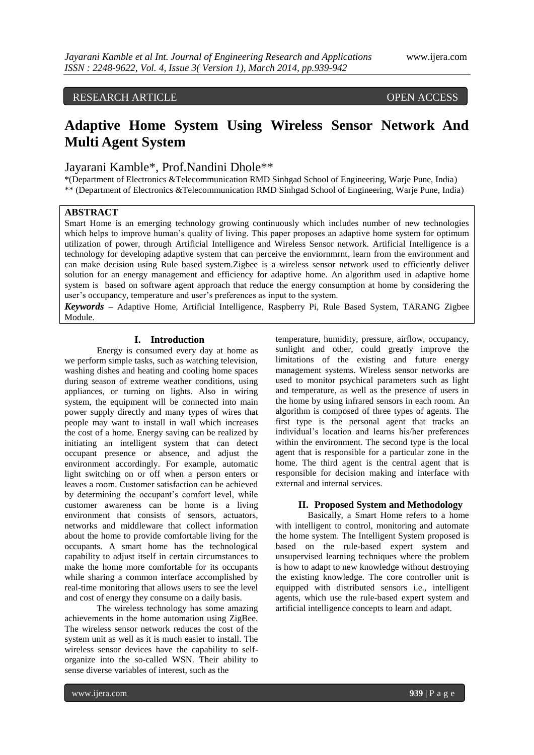# RESEARCH ARTICLE OPEN ACCESS

# **Adaptive Home System Using Wireless Sensor Network And Multi Agent System**

## Jayarani Kamble\*, Prof.Nandini Dhole\*\*

\*(Department of Electronics &Telecommunication RMD Sinhgad School of Engineering, Warje Pune, India) \*\* (Department of Electronics &Telecommunication RMD Sinhgad School of Engineering, Warje Pune, India)

## **ABSTRACT**

Smart Home is an emerging technology growing continuously which includes number of new technologies which helps to improve human's quality of living. This paper proposes an adaptive home system for optimum utilization of power, through Artificial Intelligence and Wireless Sensor network. Artificial Intelligence is a technology for developing adaptive system that can perceive the enviornmrnt, learn from the environment and can make decision using Rule based system.Zigbee is a wireless sensor network used to efficiently deliver solution for an energy management and efficiency for adaptive home. An algorithm used in adaptive home system is based on software agent approach that reduce the energy consumption at home by considering the user's occupancy, temperature and user's preferences as input to the system.

*Keywords* **–** Adaptive Home, Artificial Intelligence, Raspberry Pi, Rule Based System, TARANG Zigbee Module.

## **I. Introduction**

Energy is consumed every day at home as we perform simple tasks, such as watching television, washing dishes and heating and cooling home spaces during season of extreme weather conditions, using appliances, or turning on lights. Also in wiring system, the equipment will be connected into main power supply directly and many types of wires that people may want to install in wall which increases the cost of a home. Energy saving can be realized by initiating an intelligent system that can detect occupant presence or absence, and adjust the environment accordingly. For example, automatic light switching on or off when a person enters or leaves a room. Customer satisfaction can be achieved by determining the occupant's comfort level, while customer awareness can be home is a living environment that consists of sensors, actuators, networks and middleware that collect information about the home to provide comfortable living for the occupants. A smart home has the technological capability to adjust itself in certain circumstances to make the home more comfortable for its occupants while sharing a common interface accomplished by real-time monitoring that allows users to see the level and cost of energy they consume on a daily basis.

The wireless technology has some amazing achievements in the home automation using ZigBee. The wireless sensor network reduces the cost of the system unit as well as it is much easier to install. The wireless sensor devices have the capability to selforganize into the so-called WSN. Their ability to sense diverse variables of interest, such as the

temperature, humidity, pressure, airflow, occupancy, sunlight and other, could greatly improve the limitations of the existing and future energy management systems. Wireless sensor networks are used to monitor psychical parameters such as light and temperature, as well as the presence of users in the home by using infrared sensors in each room. An algorithm is composed of three types of agents. The first type is the personal agent that tracks an individual's location and learns his/her preferences within the environment. The second type is the local agent that is responsible for a particular zone in the home. The third agent is the central agent that is responsible for decision making and interface with external and internal services.

## **II. Proposed System and Methodology**

Basically, a Smart Home refers to a home with intelligent to control, monitoring and automate the home system. The Intelligent System proposed is based on the rule-based expert system and unsupervised learning techniques where the problem is how to adapt to new knowledge without destroying the existing knowledge. The core controller unit is equipped with distributed sensors i.e., intelligent agents, which use the rule-based expert system and artificial intelligence concepts to learn and adapt.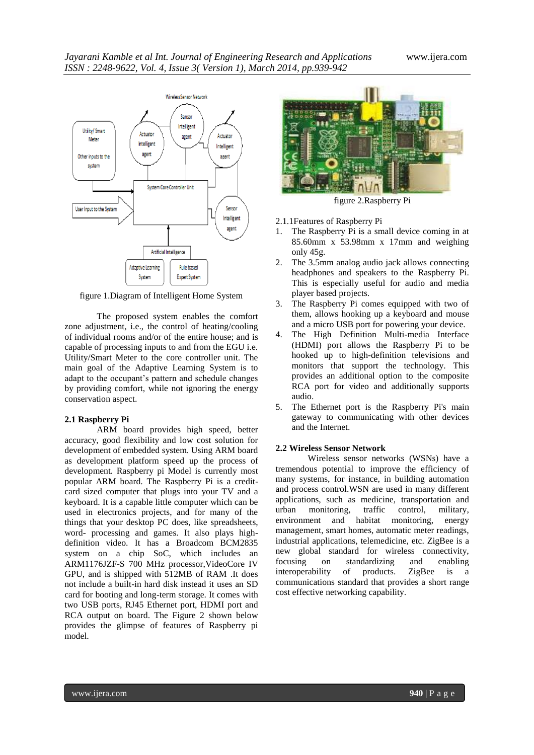

figure 1.Diagram of Intelligent Home System

The proposed system enables the comfort zone adjustment, i.e., the control of heating/cooling of individual rooms and/or of the entire house; and is capable of processing inputs to and from the EGU i.e. Utility/Smart Meter to the core controller unit. The main goal of the Adaptive Learning System is to adapt to the occupant's pattern and schedule changes by providing comfort, while not ignoring the energy conservation aspect.

#### **2.1 Raspberry Pi**

ARM board provides high speed, better accuracy, good flexibility and low cost solution for development of embedded system. Using ARM board as development platform speed up the process of development. Raspberry pi Model is currently most popular ARM board. The Raspberry Pi is a creditcard sized computer that plugs into your TV and a keyboard. It is a capable little computer which can be used in electronics projects, and for many of the things that your desktop PC does, like spreadsheets, word- processing and games. It also plays highdefinition video. It has a Broadcom BCM2835 system on a chip SoC, which includes an ARM1176JZF-S 700 MHz processor,VideoCore IV GPU, and is shipped with 512MB of RAM .It does not include a built-in hard disk instead it uses an SD card for booting and long-term storage. It comes with two USB ports, RJ45 Ethernet port, HDMI port and RCA output on board. The Figure 2 shown below provides the glimpse of features of Raspberry pi model.



figure 2.Raspberry Pi

2.1.1Features of Raspberry Pi

- 1. The Raspberry Pi is a small device coming in at 85.60mm x 53.98mm x 17mm and weighing only 45g.
- 2. The 3.5mm analog audio jack allows connecting headphones and speakers to the Raspberry Pi. This is especially useful for audio and media player based projects.
- 3. The Raspberry Pi comes equipped with two of them, allows hooking up a keyboard and mouse and a micro USB port for powering your device.
- 4. The High Definition Multi-media Interface (HDMI) port allows the Raspberry Pi to be hooked up to high-definition televisions and monitors that support the technology. This provides an additional option to the composite RCA port for video and additionally supports audio.
- 5. The Ethernet port is the Raspberry Pi's main gateway to communicating with other devices and the Internet.

## **2.2 Wireless Sensor Network**

Wireless sensor networks (WSNs) have a tremendous potential to improve the efficiency of many systems, for instance, in building automation and process control.WSN are used in many different applications, such as medicine, transportation and urban monitoring, traffic control, military, environment and habitat monitoring, energy management, smart homes, automatic meter readings, industrial applications, telemedicine, etc. ZigBee is a new global standard for wireless connectivity, focusing on standardizing and enabling interoperability of products. ZigBee is a communications standard that provides a short range cost effective networking capability.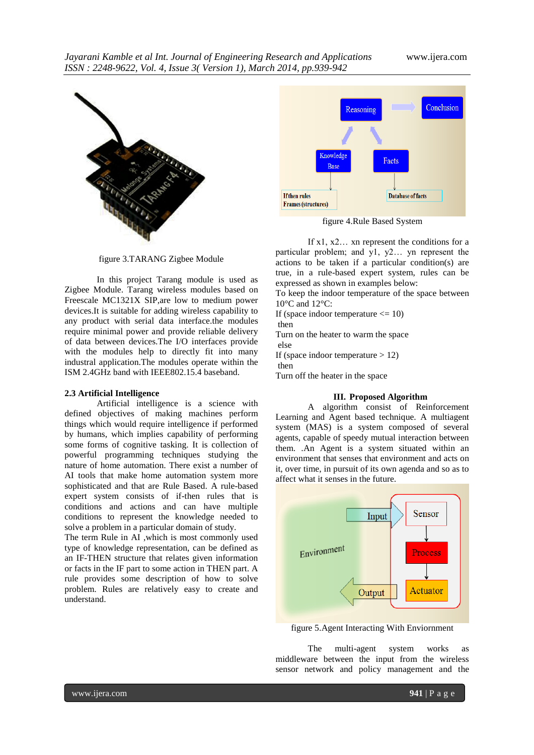

figure 3.TARANG Zigbee Module

In this project Tarang module is used as Zigbee Module. Tarang wireless modules based on Freescale MC1321X SIP,are low to medium power devices.It is suitable for adding wireless capability to any product with serial data interface.the modules require minimal power and provide reliable delivery of data between devices.The I/O interfaces provide with the modules help to directly fit into many industral application.The modules operate within the ISM 2.4GHz band with IEEE802.15.4 baseband.

#### **2.3 Artificial Intelligence**

Artificial intelligence is a science with defined objectives of making machines perform things which would require intelligence if performed by humans, which implies capability of performing some forms of cognitive tasking. It is collection of powerful programming techniques studying the nature of home automation. There exist a number of AI tools that make home automation system more sophisticated and that are Rule Based. A rule-based expert system consists of if-then rules that is conditions and actions and can have multiple conditions to represent the knowledge needed to solve a problem in a particular domain of study.

The term Rule in AI ,which is most commonly used type of knowledge representation, can be defined as an IF-THEN structure that relates given information or facts in the IF part to some action in THEN part. A rule provides some description of how to solve problem. Rules are relatively easy to create and understand.



figure 4.Rule Based System

If  $x1, x2...$  xn represent the conditions for a particular problem; and y1, y2… yn represent the actions to be taken if a particular condition(s) are true, in a rule-based expert system, rules can be expressed as shown in examples below:

To keep the indoor temperature of the space between 10°C and 12°C:

If (space indoor temperature  $\leq 10$ )

then

Turn on the heater to warm the space else

If (space indoor temperature  $> 12$ ) then

Turn off the heater in the space

## **III. Proposed Algorithm**

A algorithm consist of Reinforcement Learning and Agent based technique. A multiagent system (MAS) is a system composed of several agents, capable of speedy mutual interaction between them. .An Agent is a system situated within an environment that senses that environment and acts on it, over time, in pursuit of its own agenda and so as to affect what it senses in the future.



figure 5.Agent Interacting With Enviornment

The multi-agent system works as middleware between the input from the wireless sensor network and policy management and the